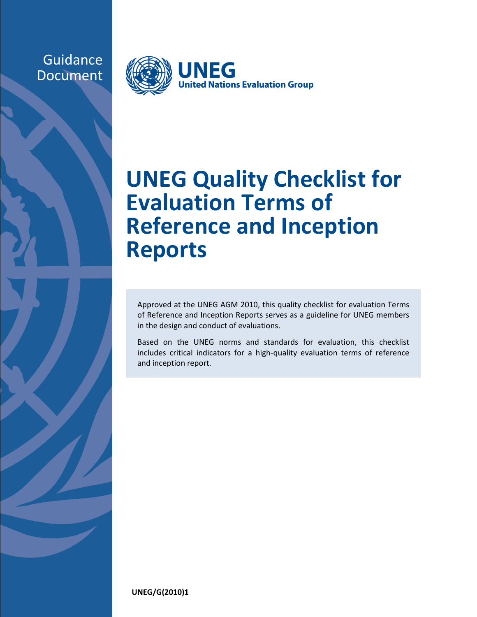## Guidance Document



## **UNEG Quality Checklist for Evaluation Terms of Reference and Inception Reports**

Approved at the UNEG AGM 2010, this quality checklist for evaluation Terms of Reference and Inception Reports serves as a guideline for UNEG members in the design and conduct of evaluations.

Based on the UNEG norms and standards for evaluation, this checklist includes critical indicators for a high-quality evaluation terms of reference and inception report.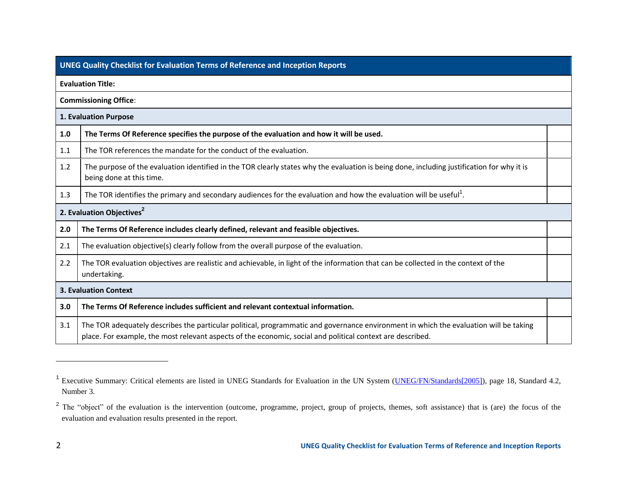|     | <b>UNEG Quality Checklist for Evaluation Terms of Reference and Inception Reports</b>                                                                                                                                                               |  |  |  |  |
|-----|-----------------------------------------------------------------------------------------------------------------------------------------------------------------------------------------------------------------------------------------------------|--|--|--|--|
|     | <b>Evaluation Title:</b>                                                                                                                                                                                                                            |  |  |  |  |
|     | <b>Commissioning Office:</b>                                                                                                                                                                                                                        |  |  |  |  |
|     | 1. Evaluation Purpose                                                                                                                                                                                                                               |  |  |  |  |
| 1.0 | The Terms Of Reference specifies the purpose of the evaluation and how it will be used.                                                                                                                                                             |  |  |  |  |
| 1.1 | The TOR references the mandate for the conduct of the evaluation.                                                                                                                                                                                   |  |  |  |  |
| 1.2 | The purpose of the evaluation identified in the TOR clearly states why the evaluation is being done, including justification for why it is<br>being done at this time.                                                                              |  |  |  |  |
| 1.3 | The TOR identifies the primary and secondary audiences for the evaluation and how the evaluation will be useful <sup>1</sup> .                                                                                                                      |  |  |  |  |
|     | 2. Evaluation Objectives <sup>2</sup>                                                                                                                                                                                                               |  |  |  |  |
| 2.0 | The Terms Of Reference includes clearly defined, relevant and feasible objectives.                                                                                                                                                                  |  |  |  |  |
| 2.1 | The evaluation objective(s) clearly follow from the overall purpose of the evaluation.                                                                                                                                                              |  |  |  |  |
| 2.2 | The TOR evaluation objectives are realistic and achievable, in light of the information that can be collected in the context of the<br>undertaking.                                                                                                 |  |  |  |  |
|     | <b>3. Evaluation Context</b>                                                                                                                                                                                                                        |  |  |  |  |
| 3.0 | The Terms Of Reference includes sufficient and relevant contextual information.                                                                                                                                                                     |  |  |  |  |
| 3.1 | The TOR adequately describes the particular political, programmatic and governance environment in which the evaluation will be taking<br>place. For example, the most relevant aspects of the economic, social and political context are described. |  |  |  |  |

l

<sup>&</sup>lt;sup>1</sup> Executive Summary: Critical elements are listed in UNEG Standards for Evaluation in the UN System (*UNEG/FN/Standards*[2005]), page 18, Standard 4.2, Number 3.

<sup>&</sup>lt;sup>2</sup> The "object" of the evaluation is the intervention (outcome, programme, project, group of projects, themes, soft assistance) that is (are) the focus of the evaluation and evaluation results presented in the report.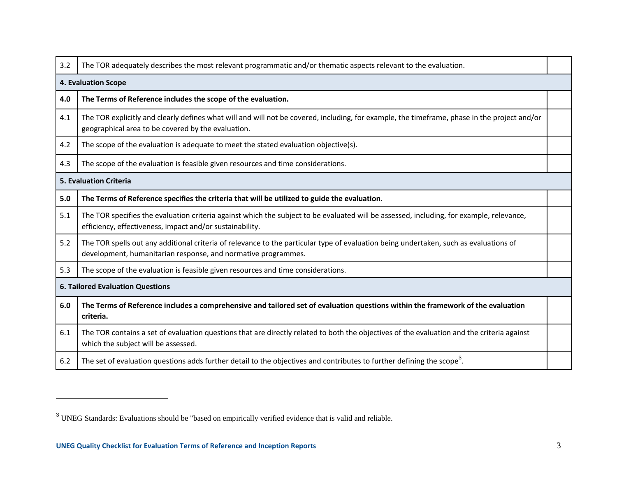| 3.2 | The TOR adequately describes the most relevant programmatic and/or thematic aspects relevant to the evaluation.                                                                                        |  |  |  |  |
|-----|--------------------------------------------------------------------------------------------------------------------------------------------------------------------------------------------------------|--|--|--|--|
|     | <b>4. Evaluation Scope</b>                                                                                                                                                                             |  |  |  |  |
| 4.0 | The Terms of Reference includes the scope of the evaluation.                                                                                                                                           |  |  |  |  |
| 4.1 | The TOR explicitly and clearly defines what will and will not be covered, including, for example, the timeframe, phase in the project and/or<br>geographical area to be covered by the evaluation.     |  |  |  |  |
| 4.2 | The scope of the evaluation is adequate to meet the stated evaluation objective(s).                                                                                                                    |  |  |  |  |
| 4.3 | The scope of the evaluation is feasible given resources and time considerations.                                                                                                                       |  |  |  |  |
|     | <b>5. Evaluation Criteria</b>                                                                                                                                                                          |  |  |  |  |
| 5.0 | The Terms of Reference specifies the criteria that will be utilized to guide the evaluation.                                                                                                           |  |  |  |  |
| 5.1 | The TOR specifies the evaluation criteria against which the subject to be evaluated will be assessed, including, for example, relevance,<br>efficiency, effectiveness, impact and/or sustainability.   |  |  |  |  |
| 5.2 | The TOR spells out any additional criteria of relevance to the particular type of evaluation being undertaken, such as evaluations of<br>development, humanitarian response, and normative programmes. |  |  |  |  |
| 5.3 | The scope of the evaluation is feasible given resources and time considerations.                                                                                                                       |  |  |  |  |
|     | <b>6. Tailored Evaluation Questions</b>                                                                                                                                                                |  |  |  |  |
| 6.0 | The Terms of Reference includes a comprehensive and tailored set of evaluation questions within the framework of the evaluation<br>criteria.                                                           |  |  |  |  |
| 6.1 | The TOR contains a set of evaluation questions that are directly related to both the objectives of the evaluation and the criteria against<br>which the subject will be assessed.                      |  |  |  |  |
| 6.2 | The set of evaluation questions adds further detail to the objectives and contributes to further defining the scope <sup>3</sup> .                                                                     |  |  |  |  |

l

<sup>&</sup>lt;sup>3</sup> UNEG Standards: Evaluations should be "based on empirically verified evidence that is valid and reliable.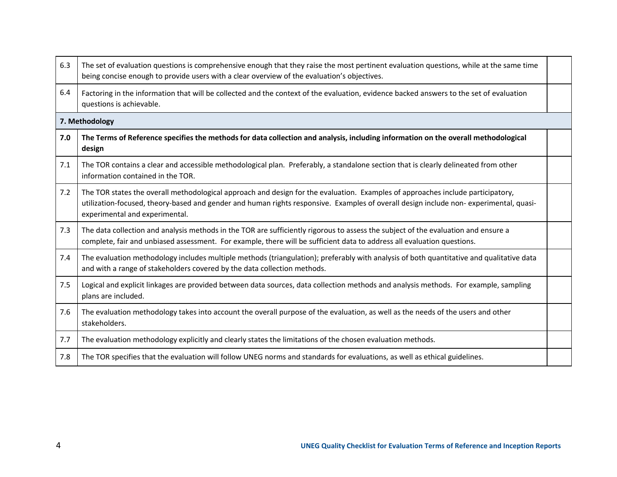| 6.3 | The set of evaluation questions is comprehensive enough that they raise the most pertinent evaluation questions, while at the same time<br>being concise enough to provide users with a clear overview of the evaluation's objectives.                                                                     |  |  |  |  |
|-----|------------------------------------------------------------------------------------------------------------------------------------------------------------------------------------------------------------------------------------------------------------------------------------------------------------|--|--|--|--|
| 6.4 | Factoring in the information that will be collected and the context of the evaluation, evidence backed answers to the set of evaluation<br>questions is achievable.                                                                                                                                        |  |  |  |  |
|     | 7. Methodology                                                                                                                                                                                                                                                                                             |  |  |  |  |
| 7.0 | The Terms of Reference specifies the methods for data collection and analysis, including information on the overall methodological<br>design                                                                                                                                                               |  |  |  |  |
| 7.1 | The TOR contains a clear and accessible methodological plan. Preferably, a standalone section that is clearly delineated from other<br>information contained in the TOR.                                                                                                                                   |  |  |  |  |
| 7.2 | The TOR states the overall methodological approach and design for the evaluation. Examples of approaches include participatory,<br>utilization-focused, theory-based and gender and human rights responsive. Examples of overall design include non-experimental, quasi-<br>experimental and experimental. |  |  |  |  |
| 7.3 | The data collection and analysis methods in the TOR are sufficiently rigorous to assess the subject of the evaluation and ensure a<br>complete, fair and unbiased assessment. For example, there will be sufficient data to address all evaluation questions.                                              |  |  |  |  |
| 7.4 | The evaluation methodology includes multiple methods (triangulation); preferably with analysis of both quantitative and qualitative data<br>and with a range of stakeholders covered by the data collection methods.                                                                                       |  |  |  |  |
| 7.5 | Logical and explicit linkages are provided between data sources, data collection methods and analysis methods. For example, sampling<br>plans are included.                                                                                                                                                |  |  |  |  |
| 7.6 | The evaluation methodology takes into account the overall purpose of the evaluation, as well as the needs of the users and other<br>stakeholders.                                                                                                                                                          |  |  |  |  |
| 7.7 | The evaluation methodology explicitly and clearly states the limitations of the chosen evaluation methods.                                                                                                                                                                                                 |  |  |  |  |
| 7.8 | The TOR specifies that the evaluation will follow UNEG norms and standards for evaluations, as well as ethical guidelines.                                                                                                                                                                                 |  |  |  |  |